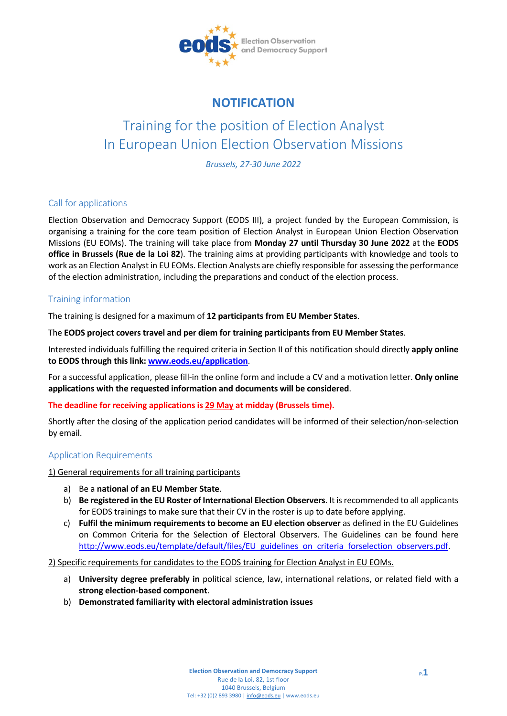

# **NOTIFICATION**

# Training for the position of Election Analyst In European Union Election Observation Missions

*Brussels, 27-30 June 2022*

# Call for applications

Election Observation and Democracy Support (EODS III), a project funded by the European Commission, is organising a training for the core team position of Election Analyst in European Union Election Observation Missions (EU EOMs). The training will take place from **Monday 27 until Thursday 30 June 2022** at the **EODS office in Brussels (Rue de la Loi 82**). The training aims at providing participants with knowledge and tools to work as an Election Analyst in EU EOMs. Election Analysts are chiefly responsible for assessing the performance of the election administration, including the preparations and conduct of the election process.

# Training information

The training is designed for a maximum of **12 participants from EU Member States**.

The **EODS project covers travel and per diem for training participants from EU Member States**.

Interested individuals fulfilling the required criteria in Section II of this notification should directly **apply online to EODS through this link: [www.eods.eu/application](http://www.eods.eu/application)**.

For a successful application, please fill-in the online form and include a CV and a motivation letter. **Only online applications with the requested information and documents will be considered**.

#### **The deadline for receiving applications is 29 May at midday (Brussels time).**

Shortly after the closing of the application period candidates will be informed of their selection/non-selection by email.

# Application Requirements

1) General requirements for all training participants

- a) Be a **national of an EU Member State**.
- b) **Be registered in the EU Roster of International Election Observers**. It is recommended to all applicants for EODS trainings to make sure that their CV in the roster is up to date before applying.
- c) **Fulfil the minimum requirements to become an EU election observer** as defined in the EU Guidelines on Common Criteria for the Selection of Electoral Observers. The Guidelines can be found here http://www.eods.eu/template/default/files/EU guidelines on criteria forselection observers.pdf.

#### 2) Specific requirements for candidates to the EODS training for Election Analyst in EU EOMs.

- a) **University degree preferably in** political science, law, international relations, or related field with a **strong election-based component**.
- b) **Demonstrated familiarity with electoral administration issues**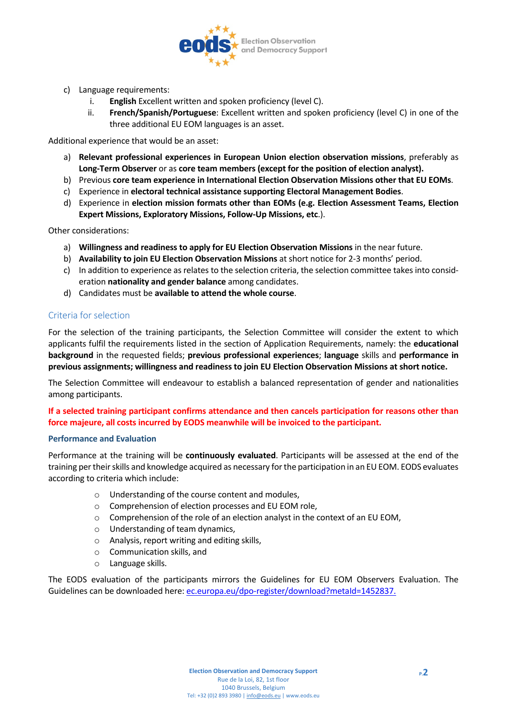

- c) Language requirements:
	- i. **English** Excellent written and spoken proficiency (level C).
	- ii. **French/Spanish/Portuguese**: Excellent written and spoken proficiency (level C) in one of the three additional EU EOM languages is an asset.

Additional experience that would be an asset:

- a) **Relevant professional experiences in European Union election observation missions**, preferably as **Long-Term Observer** or as **core team members (except for the position of election analyst).**
- b) Previous **core team experience in International Election Observation Missions other that EU EOMs**.
- c) Experience in **electoral technical assistance supporting Electoral Management Bodies**.
- d) Experience in **election mission formats other than EOMs (e.g. Election Assessment Teams, Election Expert Missions, Exploratory Missions, Follow-Up Missions, etc**.).

Other considerations:

- a) **Willingness and readiness to apply for EU Election Observation Missions** in the near future.
- b) **Availability to join EU Election Observation Missions** at short notice for 2-3 months' period.
- c) In addition to experience as relates to the selection criteria, the selection committee takes into consideration **nationality and gender balance** among candidates.
- d) Candidates must be **available to attend the whole course**.

## Criteria for selection

For the selection of the training participants, the Selection Committee will consider the extent to which applicants fulfil the requirements listed in the section of Application Requirements, namely: the **educational background** in the requested fields; **previous professional experiences**; **language** skills and **performance in previous assignments; willingness and readiness to join EU Election Observation Missions at short notice.**

The Selection Committee will endeavour to establish a balanced representation of gender and nationalities among participants.

## **If a selected training participant confirms attendance and then cancels participation for reasons other than force majeure, all costs incurred by EODS meanwhile will be invoiced to the participant.**

#### **Performance and Evaluation**

Performance at the training will be **continuously evaluated**. Participants will be assessed at the end of the training per their skills and knowledge acquired as necessary for the participation in an EU EOM. EODS evaluates according to criteria which include:

- o Understanding of the course content and modules,
- o Comprehension of election processes and EU EOM role,
- $\circ$  Comprehension of the role of an election analyst in the context of an EU EOM,
- o Understanding of team dynamics,
- o Analysis, report writing and editing skills,
- o Communication skills, and
- o Language skills.

The EODS evaluation of the participants mirrors the Guidelines for EU EOM Observers Evaluation. The Guidelines can be downloaded here: ec.europa.eu/dpo-register/download?metaId=1452837.